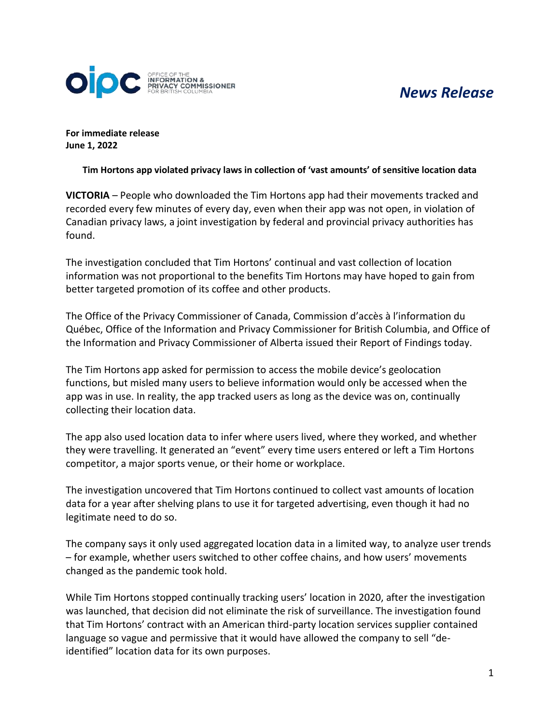# *News Release*



**For immediate release June 1, 2022**

**Tim Hortons app violated privacy laws in collection of 'vast amounts' of sensitive location data**

**VICTORIA** – People who downloaded the Tim Hortons app had their movements tracked and recorded every few minutes of every day, even when their app was not open, in violation of Canadian privacy laws, a joint investigation by federal and provincial privacy authorities has found.

The investigation concluded that Tim Hortons' continual and vast collection of location information was not proportional to the benefits Tim Hortons may have hoped to gain from better targeted promotion of its coffee and other products.

The Office of the Privacy Commissioner of Canada, Commission d'accès à l'information du Québec, Office of the Information and Privacy Commissioner for British Columbia, and Office of the Information and Privacy Commissioner of Alberta issued their Report of Findings today.

The Tim Hortons app asked for permission to access the mobile device's geolocation functions, but misled many users to believe information would only be accessed when the app was in use. In reality, the app tracked users as long as the device was on, continually collecting their location data.

The app also used location data to infer where users lived, where they worked, and whether they were travelling. It generated an "event" every time users entered or left a Tim Hortons competitor, a major sports venue, or their home or workplace.

The investigation uncovered that Tim Hortons continued to collect vast amounts of location data for a year after shelving plans to use it for targeted advertising, even though it had no legitimate need to do so.

The company says it only used aggregated location data in a limited way, to analyze user trends – for example, whether users switched to other coffee chains, and how users' movements changed as the pandemic took hold.

While Tim Hortons stopped continually tracking users' location in 2020, after the investigation was launched, that decision did not eliminate the risk of surveillance. The investigation found that Tim Hortons' contract with an American third-party location services supplier contained language so vague and permissive that it would have allowed the company to sell "deidentified" location data for its own purposes.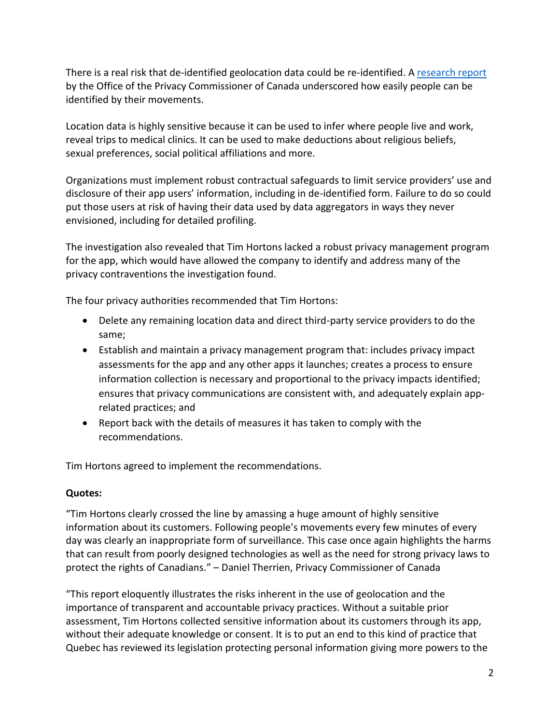There is a real risk that de-identified geolocation data could be re-identified. A [research report](https://www.priv.gc.ca/en/opc-actions-and-decisions/research/explore-privacy-research/2014/md_201410/) by the Office of the Privacy Commissioner of Canada underscored how easily people can be identified by their movements.

Location data is highly sensitive because it can be used to infer where people live and work, reveal trips to medical clinics. It can be used to make deductions about religious beliefs, sexual preferences, social political affiliations and more.

Organizations must implement robust contractual safeguards to limit service providers' use and disclosure of their app users' information, including in de-identified form. Failure to do so could put those users at risk of having their data used by data aggregators in ways they never envisioned, including for detailed profiling.

The investigation also revealed that Tim Hortons lacked a robust privacy management program for the app, which would have allowed the company to identify and address many of the privacy contraventions the investigation found.

The four privacy authorities recommended that Tim Hortons:

- Delete any remaining location data and direct third-party service providers to do the same;
- Establish and maintain a privacy management program that: includes privacy impact assessments for the app and any other apps it launches; creates a process to ensure information collection is necessary and proportional to the privacy impacts identified; ensures that privacy communications are consistent with, and adequately explain apprelated practices; and
- Report back with the details of measures it has taken to comply with the recommendations.

Tim Hortons agreed to implement the recommendations.

## **Quotes:**

"Tim Hortons clearly crossed the line by amassing a huge amount of highly sensitive information about its customers. Following people's movements every few minutes of every day was clearly an inappropriate form of surveillance. This case once again highlights the harms that can result from poorly designed technologies as well as the need for strong privacy laws to protect the rights of Canadians." – Daniel Therrien, Privacy Commissioner of Canada

"This report eloquently illustrates the risks inherent in the use of geolocation and the importance of transparent and accountable privacy practices. Without a suitable prior assessment, Tim Hortons collected sensitive information about its customers through its app, without their adequate knowledge or consent. It is to put an end to this kind of practice that Quebec has reviewed its legislation protecting personal information giving more powers to the